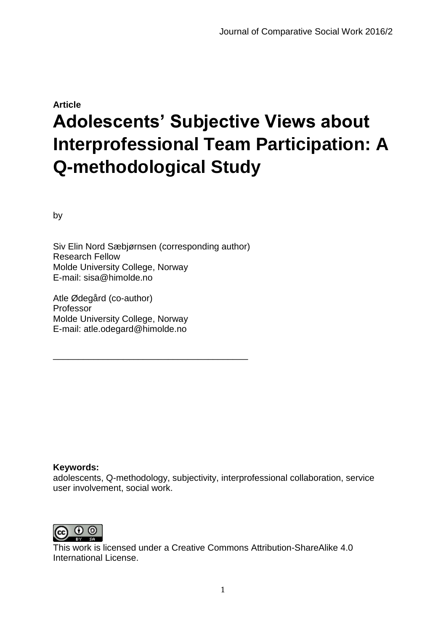# **Article Adolescents' Subjective Views about Interprofessional Team Participation: A Q-methodological Study**

by

Siv Elin Nord Sæbjørnsen (corresponding author) Research Fellow Molde University College, Norway E-mail: sisa@himolde.no

\_\_\_\_\_\_\_\_\_\_\_\_\_\_\_\_\_\_\_\_\_\_\_\_\_\_\_\_\_\_\_\_\_\_\_\_\_\_\_

Atle Ødegård (co-author) Professor Molde University College, Norway E-mail: atle.odegard@himolde.no

## **Keywords:**

adolescents, Q-methodology, subjectivity, interprofessional collaboration, service user involvement, social work.



This work is licensed under a Creative Commons Attribution-ShareAlike 4.0 International License.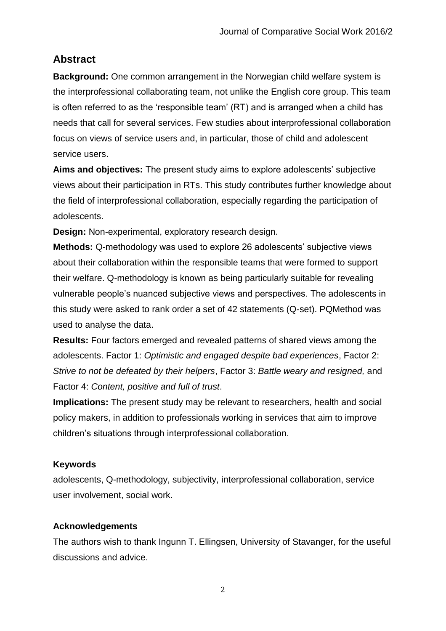# **Abstract**

**Background:** One common arrangement in the Norwegian child welfare system is the interprofessional collaborating team, not unlike the English core group. This team is often referred to as the 'responsible team' (RT) and is arranged when a child has needs that call for several services. Few studies about interprofessional collaboration focus on views of service users and, in particular, those of child and adolescent service users.

**Aims and objectives:** The present study aims to explore adolescents' subjective views about their participation in RTs. This study contributes further knowledge about the field of interprofessional collaboration, especially regarding the participation of adolescents.

**Design:** Non-experimental, exploratory research design.

**Methods:** Q-methodology was used to explore 26 adolescents' subjective views about their collaboration within the responsible teams that were formed to support their welfare. Q-methodology is known as being particularly suitable for revealing vulnerable people's nuanced subjective views and perspectives. The adolescents in this study were asked to rank order a set of 42 statements (Q-set). PQMethod was used to analyse the data.

**Results:** Four factors emerged and revealed patterns of shared views among the adolescents. Factor 1: *Optimistic and engaged despite bad experiences*, Factor 2: *Strive to not be defeated by their helpers*, Factor 3: *Battle weary and resigned,* and Factor 4: *Content, positive and full of trust*.

**Implications:** The present study may be relevant to researchers, health and social policy makers, in addition to professionals working in services that aim to improve children's situations through interprofessional collaboration.

# **Keywords**

adolescents, Q-methodology, subjectivity, interprofessional collaboration, service user involvement, social work.

# **Acknowledgements**

The authors wish to thank Ingunn T. Ellingsen, University of Stavanger, for the useful discussions and advice.

2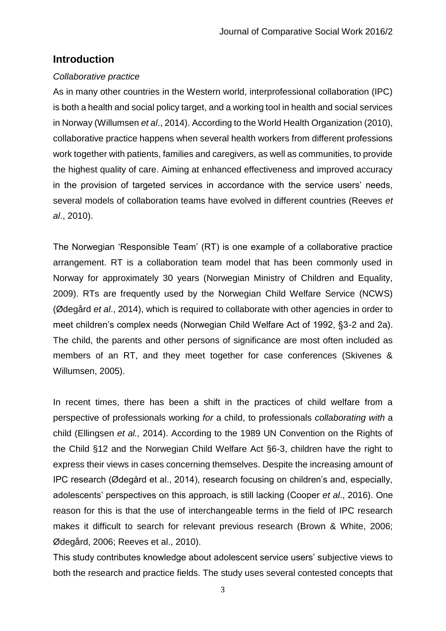# **Introduction**

## *Collaborative practice*

As in many other countries in the Western world, interprofessional collaboration (IPC) is both a health and social policy target, and a working tool in health and social services in Norway (Willumsen *et al*., 2014). According to the World Health Organization (2010), collaborative practice happens when several health workers from different professions work together with patients, families and caregivers, as well as communities, to provide the highest quality of care. Aiming at enhanced effectiveness and improved accuracy in the provision of targeted services in accordance with the service users' needs, several models of collaboration teams have evolved in different countries (Reeves *et al*., 2010).

The Norwegian 'Responsible Team' (RT) is one example of a collaborative practice arrangement. RT is a collaboration team model that has been commonly used in Norway for approximately 30 years (Norwegian Ministry of Children and Equality, 2009). RTs are frequently used by the Norwegian Child Welfare Service (NCWS) (Ødegård *et al*., 2014), which is required to collaborate with other agencies in order to meet children's complex needs (Norwegian Child Welfare Act of 1992, §3-2 and 2a). The child, the parents and other persons of significance are most often included as members of an RT, and they meet together for case conferences (Skivenes & Willumsen, 2005).

In recent times, there has been a shift in the practices of child welfare from a perspective of professionals working *for* a child, to professionals *collaborating with* a child (Ellingsen *et al.,* 2014). According to the 1989 UN Convention on the Rights of the Child §12 and the Norwegian Child Welfare Act §6-3, children have the right to express their views in cases concerning themselves. Despite the increasing amount of IPC research (Ødegård et al., 2014), research focusing on children's and, especially, adolescents' perspectives on this approach, is still lacking (Cooper *et al*., 2016). One reason for this is that the use of interchangeable terms in the field of IPC research makes it difficult to search for relevant previous research (Brown & White, 2006; Ødegård, 2006; Reeves et al., 2010).

This study contributes knowledge about adolescent service users' subjective views to both the research and practice fields. The study uses several contested concepts that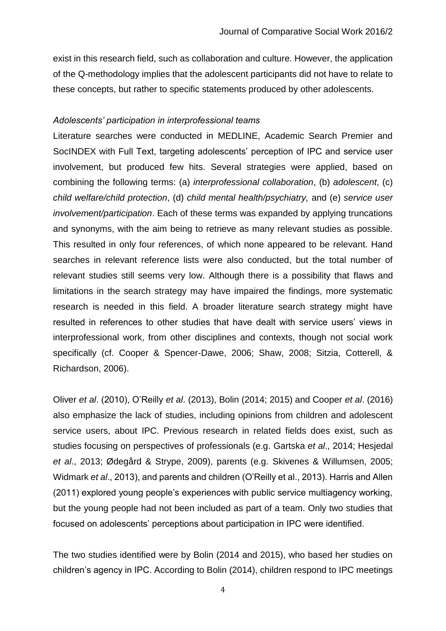exist in this research field, such as collaboration and culture. However, the application of the Q-methodology implies that the adolescent participants did not have to relate to these concepts, but rather to specific statements produced by other adolescents.

#### *Adolescents' participation in interprofessional teams*

Literature searches were conducted in MEDLINE, Academic Search Premier and SocINDEX with Full Text, targeting adolescents' perception of IPC and service user involvement, but produced few hits. Several strategies were applied, based on combining the following terms: (a) *interprofessional collaboration*, (b) *adolescent*, (c) *child welfare/child protection*, (d) *child mental health/psychiatry,* and (e) *service user involvement/participation*. Each of these terms was expanded by applying truncations and synonyms, with the aim being to retrieve as many relevant studies as possible. This resulted in only four references, of which none appeared to be relevant. Hand searches in relevant reference lists were also conducted, but the total number of relevant studies still seems very low. Although there is a possibility that flaws and limitations in the search strategy may have impaired the findings, more systematic research is needed in this field. A broader literature search strategy might have resulted in references to other studies that have dealt with service users' views in interprofessional work, from other disciplines and contexts, though not social work specifically (cf. Cooper & Spencer-Dawe, 2006; Shaw, 2008; Sitzia, Cotterell, & Richardson, 2006).

Oliver *et al*. (2010), O'Reilly *et al*. (2013), Bolin (2014; 2015) and Cooper *et al*. (2016) also emphasize the lack of studies, including opinions from children and adolescent service users, about IPC. Previous research in related fields does exist, such as studies focusing on perspectives of professionals (e.g. Gartska *et al*., 2014; Hesjedal *et al*., 2013; Ødegård & Strype, 2009), parents (e.g. Skivenes & Willumsen, 2005; Widmark *et al*., 2013), and parents and children (O'Reilly et al., 2013). Harris and Allen (2011) explored young people's experiences with public service multiagency working, but the young people had not been included as part of a team. Only two studies that focused on adolescents' perceptions about participation in IPC were identified.

The two studies identified were by Bolin (2014 and 2015), who based her studies on children's agency in IPC. According to Bolin (2014), children respond to IPC meetings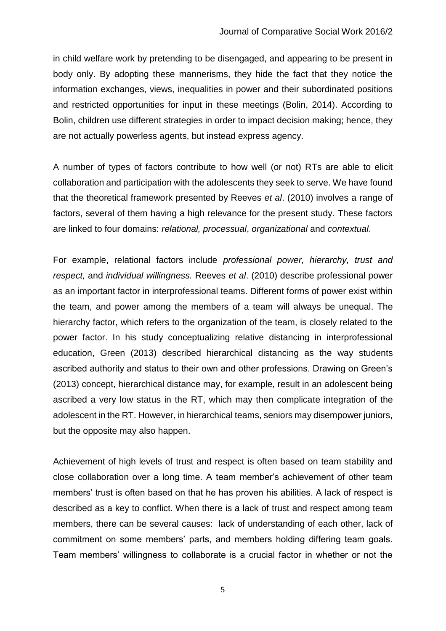in child welfare work by pretending to be disengaged, and appearing to be present in body only. By adopting these mannerisms, they hide the fact that they notice the information exchanges, views, inequalities in power and their subordinated positions and restricted opportunities for input in these meetings (Bolin, 2014). According to Bolin, children use different strategies in order to impact decision making; hence, they are not actually powerless agents, but instead express agency.

A number of types of factors contribute to how well (or not) RTs are able to elicit collaboration and participation with the adolescents they seek to serve. We have found that the theoretical framework presented by Reeves *et al*. (2010) involves a range of factors, several of them having a high relevance for the present study. These factors are linked to four domains: *relational, processual*, *organizational* and *contextual*.

For example, relational factors include *professional power, hierarchy, trust and respect,* and *individual willingness.* Reeves *et al*. (2010) describe professional power as an important factor in interprofessional teams. Different forms of power exist within the team, and power among the members of a team will always be unequal. The hierarchy factor, which refers to the organization of the team, is closely related to the power factor. In his study conceptualizing relative distancing in interprofessional education, Green (2013) described hierarchical distancing as the way students ascribed authority and status to their own and other professions. Drawing on Green's (2013) concept, hierarchical distance may, for example, result in an adolescent being ascribed a very low status in the RT, which may then complicate integration of the adolescent in the RT. However, in hierarchical teams, seniors may disempower juniors, but the opposite may also happen.

Achievement of high levels of trust and respect is often based on team stability and close collaboration over a long time. A team member's achievement of other team members' trust is often based on that he has proven his abilities. A lack of respect is described as a key to conflict. When there is a lack of trust and respect among team members, there can be several causes: lack of understanding of each other, lack of commitment on some members' parts, and members holding differing team goals. Team members' willingness to collaborate is a crucial factor in whether or not the

5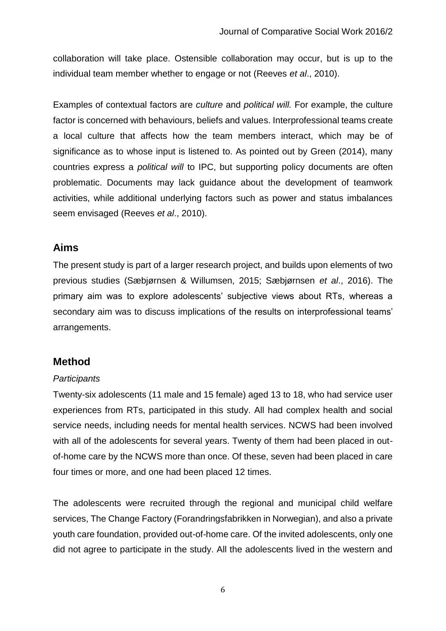collaboration will take place. Ostensible collaboration may occur, but is up to the individual team member whether to engage or not (Reeves *et al*., 2010).

Examples of contextual factors are *culture* and *political will.* For example, the culture factor is concerned with behaviours, beliefs and values. Interprofessional teams create a local culture that affects how the team members interact, which may be of significance as to whose input is listened to. As pointed out by Green (2014), many countries express a *political will* to IPC, but supporting policy documents are often problematic. Documents may lack guidance about the development of teamwork activities, while additional underlying factors such as power and status imbalances seem envisaged (Reeves *et al*., 2010).

# **Aims**

The present study is part of a larger research project, and builds upon elements of two previous studies (Sæbjørnsen & Willumsen, 2015; Sæbjørnsen *et al*., 2016). The primary aim was to explore adolescents' subjective views about RTs, whereas a secondary aim was to discuss implications of the results on interprofessional teams' arrangements.

# **Method**

## *Participants*

Twenty-six adolescents (11 male and 15 female) aged 13 to 18, who had service user experiences from RTs, participated in this study. All had complex health and social service needs, including needs for mental health services. NCWS had been involved with all of the adolescents for several years. Twenty of them had been placed in outof-home care by the NCWS more than once. Of these, seven had been placed in care four times or more, and one had been placed 12 times.

The adolescents were recruited through the regional and municipal child welfare services, The Change Factory (Forandringsfabrikken in Norwegian), and also a private youth care foundation, provided out-of-home care. Of the invited adolescents, only one did not agree to participate in the study. All the adolescents lived in the western and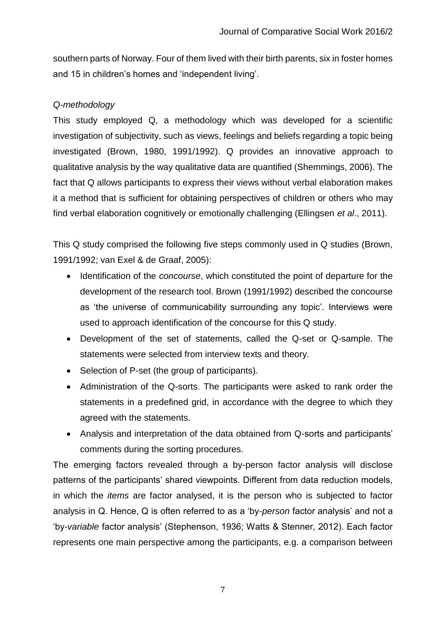southern parts of Norway. Four of them lived with their birth parents, six in foster homes and 15 in children's homes and 'independent living'.

# *Q-methodology*

This study employed Q, a methodology which was developed for a scientific investigation of subjectivity, such as views, feelings and beliefs regarding a topic being investigated (Brown, 1980, 1991/1992). Q provides an innovative approach to qualitative analysis by the way qualitative data are quantified (Shemmings, 2006). The fact that Q allows participants to express their views without verbal elaboration makes it a method that is sufficient for obtaining perspectives of children or others who may find verbal elaboration cognitively or emotionally challenging (Ellingsen *et al*., 2011).

This Q study comprised the following five steps commonly used in Q studies (Brown, 1991/1992; van Exel & de Graaf, 2005):

- Identification of the *concourse*, which constituted the point of departure for the development of the research tool. Brown (1991/1992) described the concourse as 'the universe of communicability surrounding any topic'. Interviews were used to approach identification of the concourse for this Q study.
- Development of the set of statements, called the Q-set or Q-sample. The statements were selected from interview texts and theory.
- Selection of P-set (the group of participants).
- Administration of the Q-sorts. The participants were asked to rank order the statements in a predefined grid, in accordance with the degree to which they agreed with the statements.
- Analysis and interpretation of the data obtained from Q-sorts and participants' comments during the sorting procedures.

The emerging factors revealed through a by-person factor analysis will disclose patterns of the participants' shared viewpoints. Different from data reduction models, in which the *items* are factor analysed, it is the person who is subjected to factor analysis in Q. Hence, Q is often referred to as a 'by-*person* factor analysis' and not a 'by-*variable* factor analysis' (Stephenson, 1936; Watts & Stenner, 2012). Each factor represents one main perspective among the participants, e.g. a comparison between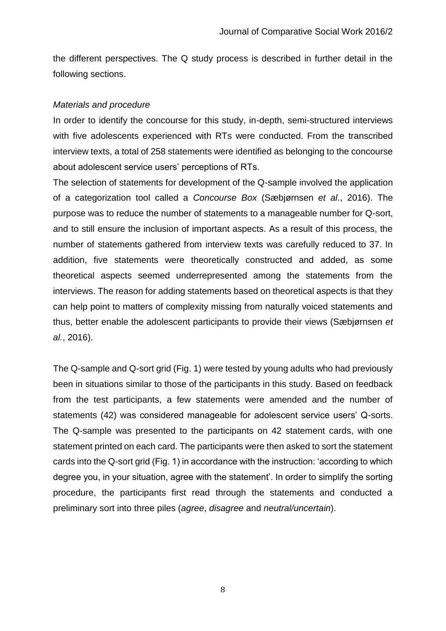the different perspectives. The Q study process is described in further detail in the following sections.

#### *Materials and procedure*

In order to identify the concourse for this study, in-depth, semi-structured interviews with five adolescents experienced with RTs were conducted. From the transcribed interview texts, a total of 258 statements were identified as belonging to the concourse about adolescent service users' perceptions of RTs.

The selection of statements for development of the Q-sample involved the application of a categorization tool called a *Concourse Box* (Sæbjørnsen *et al*., 2016). The purpose was to reduce the number of statements to a manageable number for Q-sort, and to still ensure the inclusion of important aspects. As a result of this process, the number of statements gathered from interview texts was carefully reduced to 37. In addition, five statements were theoretically constructed and added, as some theoretical aspects seemed underrepresented among the statements from the interviews. The reason for adding statements based on theoretical aspects is that they can help point to matters of complexity missing from naturally voiced statements and thus, better enable the adolescent participants to provide their views (Sæbjørnsen *et al.*, 2016).

The Q-sample and Q-sort grid (Fig. 1) were tested by young adults who had previously been in situations similar to those of the participants in this study. Based on feedback from the test participants, a few statements were amended and the number of statements (42) was considered manageable for adolescent service users' Q-sorts. The Q-sample was presented to the participants on 42 statement cards, with one statement printed on each card. The participants were then asked to sort the statement cards into the Q-sort grid (Fig. 1) in accordance with the instruction: 'according to which degree you, in your situation, agree with the statement'. In order to simplify the sorting procedure, the participants first read through the statements and conducted a preliminary sort into three piles (*agree*, *disagree* and *neutral/uncertain*).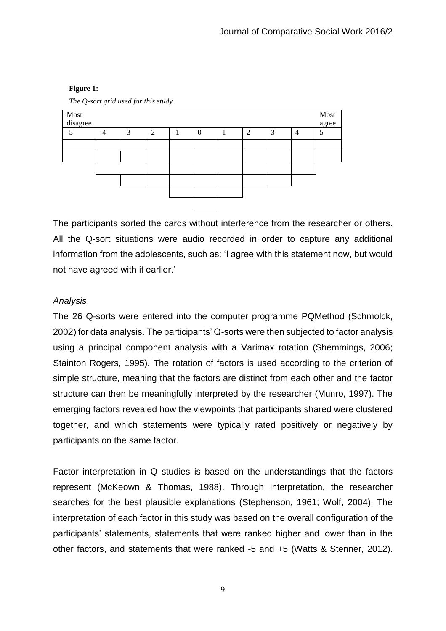#### **Figure 1:**



*The Q-sort grid used for this study*

The participants sorted the cards without interference from the researcher or others. All the Q-sort situations were audio recorded in order to capture any additional information from the adolescents, such as: 'I agree with this statement now, but would not have agreed with it earlier.'

#### *Analysis*

The 26 Q-sorts were entered into the computer programme PQMethod (Schmolck, 2002) for data analysis. The participants' Q-sorts were then subjected to factor analysis using a principal component analysis with a Varimax rotation (Shemmings, 2006; Stainton Rogers, 1995). The rotation of factors is used according to the criterion of simple structure, meaning that the factors are distinct from each other and the factor structure can then be meaningfully interpreted by the researcher (Munro, 1997). The emerging factors revealed how the viewpoints that participants shared were clustered together, and which statements were typically rated positively or negatively by participants on the same factor.

Factor interpretation in Q studies is based on the understandings that the factors represent (McKeown & Thomas, 1988). Through interpretation, the researcher searches for the best plausible explanations (Stephenson, 1961; Wolf, 2004). The interpretation of each factor in this study was based on the overall configuration of the participants' statements, statements that were ranked higher and lower than in the other factors, and statements that were ranked -5 and +5 (Watts & Stenner, 2012).

9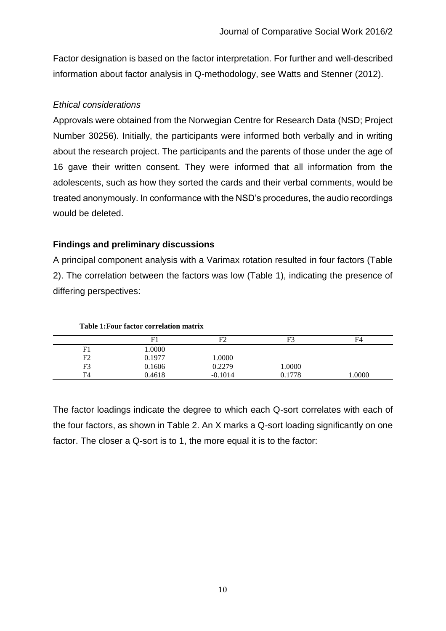Factor designation is based on the factor interpretation. For further and well-described information about factor analysis in Q-methodology, see Watts and Stenner (2012).

## *Ethical considerations*

Approvals were obtained from the Norwegian Centre for Research Data (NSD; Project Number 30256). Initially, the participants were informed both verbally and in writing about the research project. The participants and the parents of those under the age of 16 gave their written consent. They were informed that all information from the adolescents, such as how they sorted the cards and their verbal comments, would be treated anonymously. In conformance with the NSD's procedures, the audio recordings would be deleted.

# **Findings and preliminary discussions**

A principal component analysis with a Varimax rotation resulted in four factors (Table 2). The correlation between the factors was low (Table 1), indicating the presence of differing perspectives:

|                | F1     | F٦        | F3     | F <sub>4</sub> |
|----------------|--------|-----------|--------|----------------|
| F1             | 1.0000 |           |        |                |
| F2             | 0.1977 | 0000.1    |        |                |
| F <sub>3</sub> | 0.1606 | 0.2279    | 1.0000 |                |
| F <sub>4</sub> | 0.4618 | $-0.1014$ | 0.1778 | 0000.1         |

**Table 1:Four factor correlation matrix**

The factor loadings indicate the degree to which each Q-sort correlates with each of the four factors, as shown in Table 2. An X marks a Q-sort loading significantly on one factor. The closer a Q-sort is to 1, the more equal it is to the factor: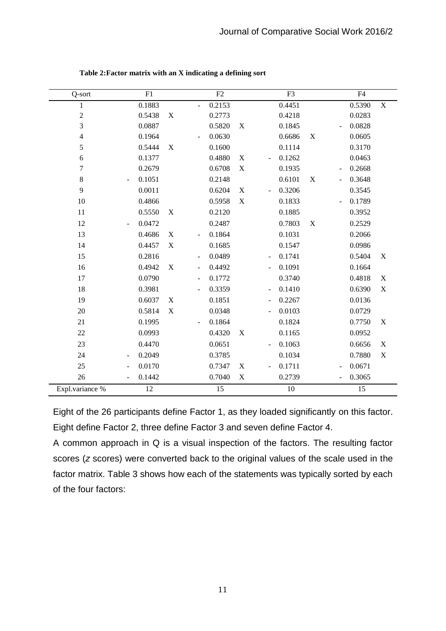| Q-sort          | $\overline{F1}$                    |             |                          | F2     |                           |                          | F <sub>3</sub> |             |                              | $\overline{F4}$ |                           |
|-----------------|------------------------------------|-------------|--------------------------|--------|---------------------------|--------------------------|----------------|-------------|------------------------------|-----------------|---------------------------|
| 1               | 0.1883                             |             | $\Box$                   | 0.2153 |                           |                          | 0.4451         |             |                              | 0.5390          | $\mathbf X$               |
| $\sqrt{2}$      | 0.5438                             | $\mathbf X$ |                          | 0.2773 |                           |                          | 0.4218         |             |                              | 0.0283          |                           |
| $\mathfrak{Z}$  | 0.0887                             |             |                          | 0.5820 | $\mathbf X$               |                          | 0.1845         |             |                              | 0.0828          |                           |
| $\overline{4}$  | 0.1964                             |             |                          | 0.0630 |                           |                          | 0.6686         | $\mathbf X$ |                              | 0.0605          |                           |
| 5               | 0.5444                             | $\mathbf X$ |                          | 0.1600 |                           |                          | 0.1114         |             |                              | 0.3170          |                           |
| 6               | 0.1377                             |             |                          | 0.4880 | $\boldsymbol{\mathrm{X}}$ | $\overline{\phantom{a}}$ | 0.1262         |             |                              | 0.0463          |                           |
| $\tau$          | 0.2679                             |             |                          | 0.6708 | $\boldsymbol{\mathrm{X}}$ |                          | 0.1935         |             | $\overline{\phantom{a}}$     | 0.2668          |                           |
| $\,$ 8 $\,$     | 0.1051<br>$\overline{\phantom{a}}$ |             |                          | 0.2148 |                           |                          | 0.6101         | X           | $\overline{\phantom{a}}$     | 0.3648          |                           |
| 9               | 0.0011                             |             |                          | 0.6204 | $\boldsymbol{\mathrm{X}}$ | $\overline{a}$           | 0.3206         |             |                              | 0.3545          |                           |
| 10              | 0.4866                             |             |                          | 0.5958 | $\mathbf X$               |                          | 0.1833         |             |                              | 0.1789          |                           |
| 11              | 0.5550                             | X           |                          | 0.2120 |                           |                          | 0.1885         |             |                              | 0.3952          |                           |
| 12              | 0.0472<br>$\sim$                   |             |                          | 0.2487 |                           |                          | 0.7803         | X           |                              | 0.2529          |                           |
| 13              | 0.4686                             | X           |                          | 0.1864 |                           |                          | 0.1031         |             |                              | 0.2066          |                           |
| 14              | 0.4457                             | $\mathbf X$ |                          | 0.1685 |                           |                          | 0.1547         |             |                              | 0.0986          |                           |
| 15              | 0.2816                             |             | $\overline{\phantom{a}}$ | 0.0489 |                           | $\blacksquare$           | 0.1741         |             |                              | 0.5404          | X                         |
| 16              | 0.4942                             | X           | $\overline{\phantom{a}}$ | 0.4492 |                           |                          | 0.1091         |             |                              | 0.1664          |                           |
| 17              | 0.0790                             |             | $\overline{\phantom{a}}$ | 0.1772 |                           |                          | 0.3740         |             |                              | 0.4818          | $\mathbf X$               |
| 18              | 0.3981                             |             | $\overline{\phantom{m}}$ | 0.3359 |                           |                          | 0.1410         |             |                              | 0.6390          | $\mathbf X$               |
| 19              | 0.6037                             | X           |                          | 0.1851 |                           | $\overline{\phantom{a}}$ | 0.2267         |             |                              | 0.0136          |                           |
| 20              | 0.5814                             | $\mathbf X$ |                          | 0.0348 |                           |                          | 0.0103         |             |                              | 0.0729          |                           |
| 21              | 0.1995                             |             |                          | 0.1864 |                           |                          | 0.1824         |             |                              | 0.7750          | $\boldsymbol{\mathrm{X}}$ |
| 22              | 0.0993                             |             |                          | 0.4320 | $\boldsymbol{\mathrm{X}}$ |                          | 0.1165         |             |                              | 0.0952          |                           |
| 23              | 0.4470                             |             |                          | 0.0651 |                           |                          | 0.1063         |             |                              | 0.6656          | $\mathbf X$               |
| 24              | 0.2049<br>$\overline{\phantom{a}}$ |             |                          | 0.3785 |                           |                          | 0.1034         |             |                              | 0.7880          | $\mathbf X$               |
| 25              | 0.0170<br>$\overline{\phantom{a}}$ |             |                          | 0.7347 | X                         | $\overline{a}$           | 0.1711         |             | $\blacksquare$               | 0.0671          |                           |
| 26              | 0.1442                             |             |                          | 0.7040 | $\mathbf X$               |                          | 0.2739         |             | $\qquad \qquad \blacksquare$ | 0.3065          |                           |
| Expl.variance % | 12                                 |             |                          | 15     |                           |                          | 10             |             |                              | 15              |                           |

**Table 2:Factor matrix with an X indicating a defining sort**

Eight of the 26 participants define Factor 1, as they loaded significantly on this factor. Eight define Factor 2, three define Factor 3 and seven define Factor 4.

A common approach in Q is a visual inspection of the factors. The resulting factor scores (*z* scores) were converted back to the original values of the scale used in the factor matrix. Table 3 shows how each of the statements was typically sorted by each of the four factors: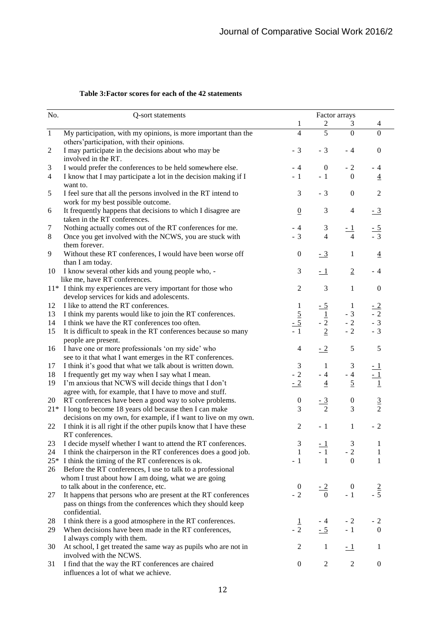| Table 3: Factor scores for each of the 42 statements |  |  |  |  |  |
|------------------------------------------------------|--|--|--|--|--|
|------------------------------------------------------|--|--|--|--|--|

| No.            | Q-sort statements                                                                                                           | Factor arrays                 |                    |                             |                        |  |
|----------------|-----------------------------------------------------------------------------------------------------------------------------|-------------------------------|--------------------|-----------------------------|------------------------|--|
|                |                                                                                                                             | $\overline{c}$<br>1<br>3<br>4 |                    |                             |                        |  |
| $\,1\,$        | My participation, with my opinions, is more important than the                                                              | $\overline{4}$                | 5                  | $\mathbf{0}$                | $\overline{0}$         |  |
|                | others' participation, with their opinions.                                                                                 |                               |                    |                             |                        |  |
| $\mathbf{2}$   | I may participate in the decisions about who may be<br>involved in the RT.                                                  | $-3$                          | $-3$               | - 4                         | $\boldsymbol{0}$       |  |
| 3              | I would prefer the conferences to be held somewhere else.                                                                   | - 4                           | $\boldsymbol{0}$   | $-2$                        | - 4                    |  |
| $\overline{4}$ | I know that I may participate a lot in the decision making if I                                                             | $-1$                          | $-1$               | $\boldsymbol{0}$            | $\overline{4}$         |  |
|                | want to.                                                                                                                    |                               |                    |                             |                        |  |
| 5              | I feel sure that all the persons involved in the RT intend to<br>work for my best possible outcome.                         | 3                             | $-3$               | $\boldsymbol{0}$            | $\mathfrak{2}$         |  |
| 6              | It frequently happens that decisions to which I disagree are<br>taken in the RT conferences.                                | $\overline{0}$                | 3                  | $\overline{4}$              | $\frac{-3}{2}$         |  |
| $\tau$         | Nothing actually comes out of the RT conferences for me.                                                                    | $-4$                          | 3                  | <u>- 1</u>                  |                        |  |
| $\,8\,$        | Once you get involved with the NCWS, you are stuck with                                                                     | $-3$                          | $\overline{4}$     | $\overline{4}$              | $\frac{-5}{-3}$        |  |
| 9              | them forever.<br>Without these RT conferences, I would have been worse off                                                  | $\boldsymbol{0}$              | $\frac{-3}{2}$     | $\mathbf{1}$                | $\overline{4}$         |  |
|                | than I am today.                                                                                                            |                               |                    |                             |                        |  |
| 10             | I know several other kids and young people who, -                                                                           | $\mathfrak{Z}$                | $-1$               | $\overline{2}$              | - 4                    |  |
|                | like me, have RT conferences.                                                                                               |                               |                    |                             |                        |  |
|                | 11* I think my experiences are very important for those who<br>develop services for kids and adolescents.                   | $\sqrt{2}$                    | 3                  | $\mathbf{1}$                | $\boldsymbol{0}$       |  |
| 12             | I like to attend the RT conferences.                                                                                        | $\mathbf{1}$                  | $-5$               | $\mathbf{1}$                | $-2$                   |  |
| 13             | I think my parents would like to join the RT conferences.                                                                   |                               |                    | $-3$                        | $-2$                   |  |
| 14             | I think we have the RT conferences too often.                                                                               | $rac{5}{1}$<br>$rac{-5}{1}$   | $\frac{1}{2}$<br>2 | $-2$                        | $-3$                   |  |
| 15             | It is difficult to speak in the RT conferences because so many                                                              |                               |                    | $-2$                        | $-3$                   |  |
|                | people are present.<br>I have one or more professionals 'on my side' who                                                    | $\overline{4}$                | $-2$               | $\sqrt{5}$                  | 5                      |  |
| 16             | see to it that what I want emerges in the RT conferences.                                                                   |                               |                    |                             |                        |  |
| 17             | I think it's good that what we talk about is written down.                                                                  | $\ensuremath{\mathfrak{Z}}$   | $\mathbf{1}$       | $\ensuremath{\mathfrak{Z}}$ |                        |  |
| 18             | I frequently get my way when I say what I mean.                                                                             | $-2$                          | $-4$               | $-4$                        |                        |  |
| 19             | I'm anxious that NCWS will decide things that I don't                                                                       | $-2$                          | $\overline{4}$     | $\overline{5}$              |                        |  |
|                | agree with, for example, that I have to move and stuff.                                                                     |                               |                    |                             |                        |  |
| 20             | RT conferences have been a good way to solve problems.                                                                      | $\boldsymbol{0}$              | $\frac{-3}{2}$     | $\boldsymbol{0}$            |                        |  |
| $21*$          | I long to become 18 years old because then I can make                                                                       | 3                             | $\overline{2}$     | 3                           | $\frac{3}{2}$          |  |
|                | decisions on my own, for example, if I want to live on my own.                                                              |                               |                    |                             |                        |  |
| 22             | I think it is all right if the other pupils know that I have these<br>RT conferences.                                       | $\sqrt{2}$                    | $-1$               | $\mathbf{1}$                | $-2$                   |  |
| 23             | I decide myself whether I want to attend the RT conferences.                                                                | $\mathfrak{Z}$                |                    | 3                           | 1                      |  |
| 24             | I think the chairperson in the RT conferences does a good job.                                                              | $\mathbf{1}$                  | - 1                | $-2$                        | 1                      |  |
|                | 25* I think the timing of the RT conferences is ok.                                                                         | $-1$                          | 1                  | $\boldsymbol{0}$            | 1                      |  |
| 26             | Before the RT conferences, I use to talk to a professional                                                                  |                               |                    |                             |                        |  |
|                | whom I trust about how I am doing, what we are going                                                                        |                               |                    |                             |                        |  |
|                | to talk about in the conference, etc.                                                                                       | $\boldsymbol{0}$<br>$-2$      | $-2$<br>$\theta$   | $\boldsymbol{0}$<br>$-1$    | $\overline{2}$<br>$-5$ |  |
| 27             | It happens that persons who are present at the RT conferences<br>pass on things from the conferences which they should keep |                               |                    |                             |                        |  |
|                | confidential.                                                                                                               |                               |                    |                             |                        |  |
| 28             | I think there is a good atmosphere in the RT conferences.                                                                   | $\frac{1}{2}$                 | $-4$               | $-2$                        | $-2$                   |  |
| 29             | When decisions have been made in the RT conferences,                                                                        |                               | $-5$               | $-1$                        | $\mathbf{0}$           |  |
|                | I always comply with them.                                                                                                  | 2                             |                    |                             | 1                      |  |
| 30             | At school, I get treated the same way as pupils who are not in<br>involved with the NCWS.                                   |                               | $\mathbf{1}$       | $\pm 1$                     |                        |  |
| 31             | I find that the way the RT conferences are chaired                                                                          | $\boldsymbol{0}$              | $\overline{2}$     | $\boldsymbol{2}$            | $\boldsymbol{0}$       |  |
|                | influences a lot of what we achieve.                                                                                        |                               |                    |                             |                        |  |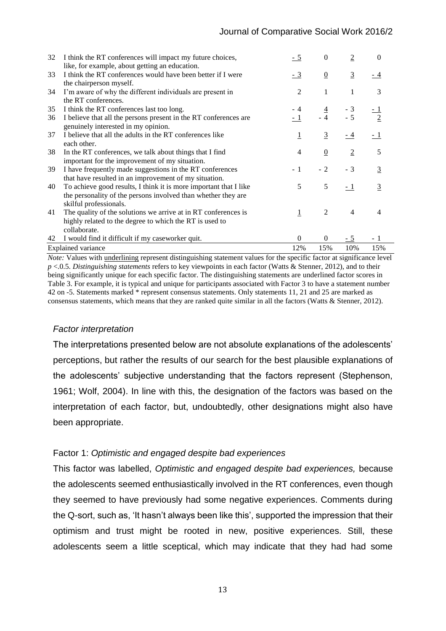| 32 | I think the RT conferences will impact my future choices,<br>like, for example, about getting an education.                | - 5            | $\theta$        | $\overline{2}$ | $\Omega$       |
|----|----------------------------------------------------------------------------------------------------------------------------|----------------|-----------------|----------------|----------------|
| 33 | I think the RT conferences would have been better if I were<br>the chairperson myself.                                     | $-3$           | $\underline{0}$ | $\overline{3}$ | - 4            |
| 34 | I'm aware of why the different individuals are present in<br>the RT conferences.                                           | $\overline{2}$ | $\mathbf{1}$    | 1              | 3              |
| 35 | I think the RT conferences last too long.                                                                                  |                |                 |                |                |
| 36 | I believe that all the persons present in the RT conferences are<br>genuinely interested in my opinion.                    |                | $\frac{4}{4}$   | $-3$<br>$-5$   |                |
| 37 | I believe that all the adults in the RT conferences like<br>each other.                                                    | $\overline{1}$ | $\overline{3}$  | $-4$           | $-1$           |
| 38 | In the RT conferences, we talk about things that I find<br>important for the improvement of my situation.                  | $\overline{4}$ | $\underline{0}$ | $\overline{2}$ | 5              |
| 39 | I have frequently made suggestions in the RT conferences                                                                   | $-1$           | $-2$            | $-3$           | $\overline{3}$ |
| 40 | that have resulted in an improvement of my situation.<br>To achieve good results, I think it is more important that I like | 5              | 5               | $-1$           | 3              |
|    | the personality of the persons involved than whether they are<br>skilful professionals.                                    |                |                 |                |                |
| 41 | The quality of the solutions we arrive at in RT conferences is<br>highly related to the degree to which the RT is used to  | $\overline{1}$ | 2               | 4              | 4              |
|    | collaborate.                                                                                                               |                |                 |                |                |
| 42 | I would find it difficult if my caseworker quit.                                                                           | $\overline{0}$ | $\mathbf{0}$    | $-5$           | - 1            |
|    | <b>Explained</b> variance                                                                                                  | 12%            | 15%             | 10%            | 15%            |

*Note:* Values with underlining represent distinguishing statement values for the specific factor at significance level *p* <.0.5. *Distinguishing statements* refers to key viewpoints in each factor (Watts & Stenner, 2012), and to their being significantly unique for each specific factor. The distinguishing statements are underlined factor scores in Table 3. For example, it is typical and unique for participants associated with Factor 3 to have a statement number 42 on -5. Statements marked \* represent consensus statements. Only statements 11, 21 and 25 are marked as consensus statements, which means that they are ranked quite similar in all the factors (Watts & Stenner, 2012).

#### *Factor interpretation*

The interpretations presented below are not absolute explanations of the adolescents' perceptions, but rather the results of our search for the best plausible explanations of the adolescents' subjective understanding that the factors represent (Stephenson, 1961; Wolf, 2004). In line with this, the designation of the factors was based on the interpretation of each factor, but, undoubtedly, other designations might also have been appropriate.

#### Factor 1: *Optimistic and engaged despite bad experiences*

This factor was labelled, *Optimistic and engaged despite bad experiences,* because the adolescents seemed enthusiastically involved in the RT conferences, even though they seemed to have previously had some negative experiences. Comments during the Q-sort, such as, 'It hasn't always been like this', supported the impression that their optimism and trust might be rooted in new, positive experiences. Still, these adolescents seem a little sceptical, which may indicate that they had had some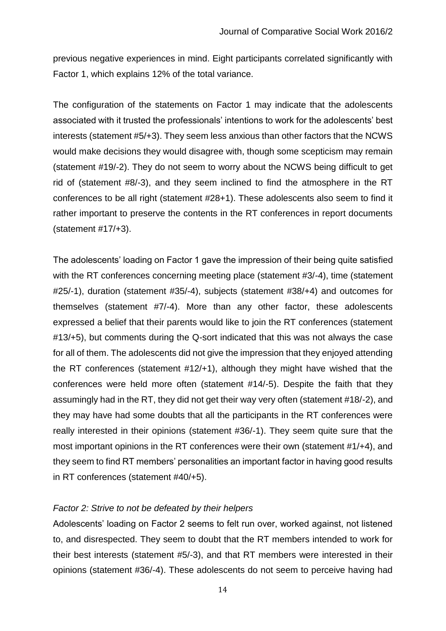previous negative experiences in mind. Eight participants correlated significantly with Factor 1, which explains 12% of the total variance.

The configuration of the statements on Factor 1 may indicate that the adolescents associated with it trusted the professionals' intentions to work for the adolescents' best interests (statement #5/+3). They seem less anxious than other factors that the NCWS would make decisions they would disagree with, though some scepticism may remain (statement #19/-2). They do not seem to worry about the NCWS being difficult to get rid of (statement #8/-3), and they seem inclined to find the atmosphere in the RT conferences to be all right (statement #28+1). These adolescents also seem to find it rather important to preserve the contents in the RT conferences in report documents (statement #17/+3).

The adolescents' loading on Factor 1 gave the impression of their being quite satisfied with the RT conferences concerning meeting place (statement #3/-4), time (statement #25/-1), duration (statement #35/-4), subjects (statement #38/+4) and outcomes for themselves (statement #7/-4). More than any other factor, these adolescents expressed a belief that their parents would like to join the RT conferences (statement #13/+5), but comments during the Q-sort indicated that this was not always the case for all of them. The adolescents did not give the impression that they enjoyed attending the RT conferences (statement #12/+1), although they might have wished that the conferences were held more often (statement #14/-5). Despite the faith that they assumingly had in the RT, they did not get their way very often (statement #18/-2), and they may have had some doubts that all the participants in the RT conferences were really interested in their opinions (statement #36/-1). They seem quite sure that the most important opinions in the RT conferences were their own (statement #1/+4), and they seem to find RT members' personalities an important factor in having good results in RT conferences (statement #40/+5).

#### *Factor 2: Strive to not be defeated by their helpers*

Adolescents' loading on Factor 2 seems to felt run over, worked against, not listened to, and disrespected. They seem to doubt that the RT members intended to work for their best interests (statement #5/-3), and that RT members were interested in their opinions (statement #36/-4). These adolescents do not seem to perceive having had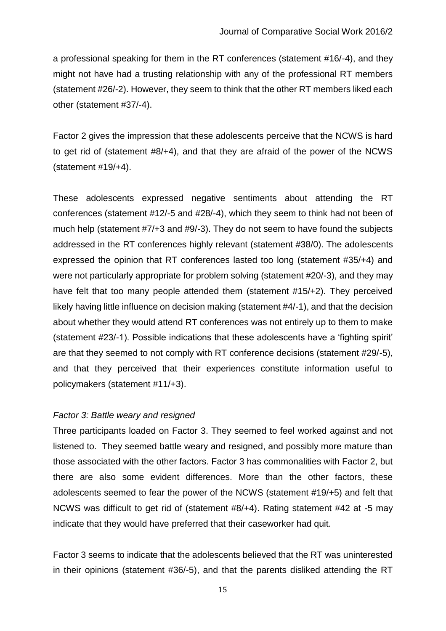a professional speaking for them in the RT conferences (statement #16/-4), and they might not have had a trusting relationship with any of the professional RT members (statement #26/-2). However, they seem to think that the other RT members liked each other (statement #37/-4).

Factor 2 gives the impression that these adolescents perceive that the NCWS is hard to get rid of (statement #8/+4), and that they are afraid of the power of the NCWS (statement #19/+4).

These adolescents expressed negative sentiments about attending the RT conferences (statement #12/-5 and #28/-4), which they seem to think had not been of much help (statement #7/+3 and #9/-3). They do not seem to have found the subjects addressed in the RT conferences highly relevant (statement #38/0). The adolescents expressed the opinion that RT conferences lasted too long (statement #35/+4) and were not particularly appropriate for problem solving (statement #20/-3), and they may have felt that too many people attended them (statement #15/+2). They perceived likely having little influence on decision making (statement #4/-1), and that the decision about whether they would attend RT conferences was not entirely up to them to make (statement #23/-1). Possible indications that these adolescents have a 'fighting spirit' are that they seemed to not comply with RT conference decisions (statement #29/-5), and that they perceived that their experiences constitute information useful to policymakers (statement #11/+3).

## *Factor 3: Battle weary and resigned*

Three participants loaded on Factor 3. They seemed to feel worked against and not listened to. They seemed battle weary and resigned, and possibly more mature than those associated with the other factors. Factor 3 has commonalities with Factor 2, but there are also some evident differences. More than the other factors, these adolescents seemed to fear the power of the NCWS (statement #19/+5) and felt that NCWS was difficult to get rid of (statement #8/+4). Rating statement #42 at -5 may indicate that they would have preferred that their caseworker had quit.

Factor 3 seems to indicate that the adolescents believed that the RT was uninterested in their opinions (statement #36/-5), and that the parents disliked attending the RT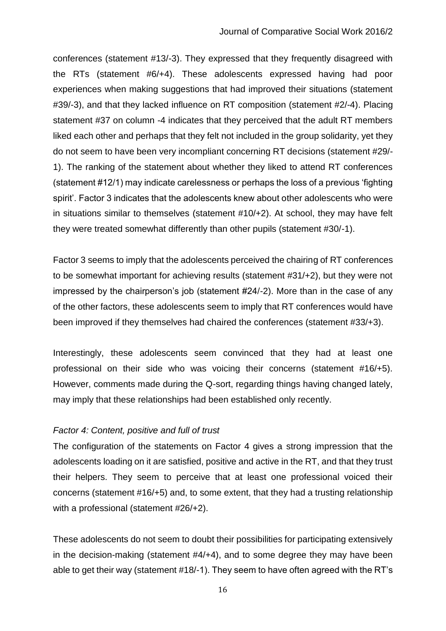conferences (statement #13/-3). They expressed that they frequently disagreed with the RTs (statement #6/+4). These adolescents expressed having had poor experiences when making suggestions that had improved their situations (statement #39/-3), and that they lacked influence on RT composition (statement #2/-4). Placing statement #37 on column -4 indicates that they perceived that the adult RT members liked each other and perhaps that they felt not included in the group solidarity, yet they do not seem to have been very incompliant concerning RT decisions (statement #29/- 1). The ranking of the statement about whether they liked to attend RT conferences (statement #12/1) may indicate carelessness or perhaps the loss of a previous 'fighting spirit'. Factor 3 indicates that the adolescents knew about other adolescents who were in situations similar to themselves (statement #10/+2). At school, they may have felt they were treated somewhat differently than other pupils (statement #30/-1).

Factor 3 seems to imply that the adolescents perceived the chairing of RT conferences to be somewhat important for achieving results (statement #31/+2), but they were not impressed by the chairperson's job (statement #24/-2). More than in the case of any of the other factors, these adolescents seem to imply that RT conferences would have been improved if they themselves had chaired the conferences (statement #33/+3).

Interestingly, these adolescents seem convinced that they had at least one professional on their side who was voicing their concerns (statement #16/+5). However, comments made during the Q-sort, regarding things having changed lately, may imply that these relationships had been established only recently.

## *Factor 4: Content, positive and full of trust*

The configuration of the statements on Factor 4 gives a strong impression that the adolescents loading on it are satisfied, positive and active in the RT, and that they trust their helpers. They seem to perceive that at least one professional voiced their concerns (statement #16/+5) and, to some extent, that they had a trusting relationship with a professional (statement #26/+2).

These adolescents do not seem to doubt their possibilities for participating extensively in the decision-making (statement #4/+4), and to some degree they may have been able to get their way (statement #18/-1). They seem to have often agreed with the RT's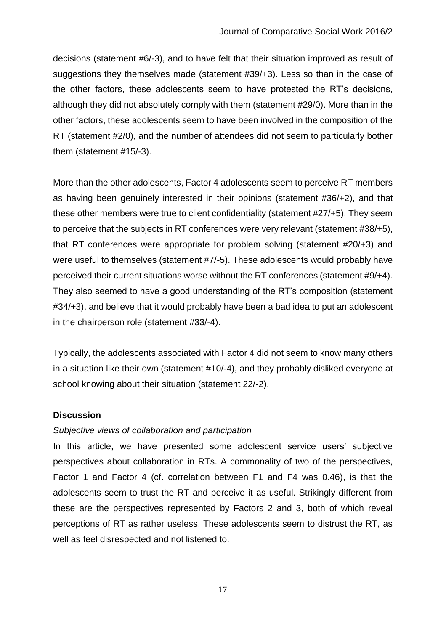decisions (statement #6/-3), and to have felt that their situation improved as result of suggestions they themselves made (statement #39/+3). Less so than in the case of the other factors, these adolescents seem to have protested the RT's decisions, although they did not absolutely comply with them (statement #29/0). More than in the other factors, these adolescents seem to have been involved in the composition of the RT (statement #2/0), and the number of attendees did not seem to particularly bother them (statement #15/-3).

More than the other adolescents, Factor 4 adolescents seem to perceive RT members as having been genuinely interested in their opinions (statement #36/+2), and that these other members were true to client confidentiality (statement #27/+5). They seem to perceive that the subjects in RT conferences were very relevant (statement #38/+5), that RT conferences were appropriate for problem solving (statement #20/+3) and were useful to themselves (statement #7/-5). These adolescents would probably have perceived their current situations worse without the RT conferences (statement #9/+4). They also seemed to have a good understanding of the RT's composition (statement #34/+3), and believe that it would probably have been a bad idea to put an adolescent in the chairperson role (statement #33/-4).

Typically, the adolescents associated with Factor 4 did not seem to know many others in a situation like their own (statement #10/-4), and they probably disliked everyone at school knowing about their situation (statement 22/-2).

## **Discussion**

## *Subjective views of collaboration and participation*

In this article, we have presented some adolescent service users' subjective perspectives about collaboration in RTs. A commonality of two of the perspectives, Factor 1 and Factor 4 (cf. correlation between F1 and F4 was 0.46), is that the adolescents seem to trust the RT and perceive it as useful. Strikingly different from these are the perspectives represented by Factors 2 and 3, both of which reveal perceptions of RT as rather useless. These adolescents seem to distrust the RT, as well as feel disrespected and not listened to.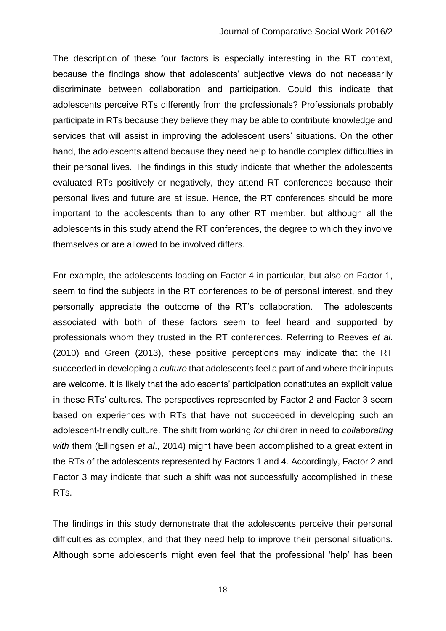The description of these four factors is especially interesting in the RT context, because the findings show that adolescents' subjective views do not necessarily discriminate between collaboration and participation. Could this indicate that adolescents perceive RTs differently from the professionals? Professionals probably participate in RTs because they believe they may be able to contribute knowledge and services that will assist in improving the adolescent users' situations. On the other hand, the adolescents attend because they need help to handle complex difficulties in their personal lives. The findings in this study indicate that whether the adolescents evaluated RTs positively or negatively, they attend RT conferences because their personal lives and future are at issue. Hence, the RT conferences should be more important to the adolescents than to any other RT member, but although all the adolescents in this study attend the RT conferences, the degree to which they involve themselves or are allowed to be involved differs.

For example, the adolescents loading on Factor 4 in particular, but also on Factor 1, seem to find the subjects in the RT conferences to be of personal interest, and they personally appreciate the outcome of the RT's collaboration. The adolescents associated with both of these factors seem to feel heard and supported by professionals whom they trusted in the RT conferences. Referring to Reeves *et al*. (2010) and Green (2013), these positive perceptions may indicate that the RT succeeded in developing a *culture* that adolescents feel a part of and where their inputs are welcome. It is likely that the adolescents' participation constitutes an explicit value in these RTs' cultures. The perspectives represented by Factor 2 and Factor 3 seem based on experiences with RTs that have not succeeded in developing such an adolescent-friendly culture. The shift from working *for* children in need to *collaborating with* them (Ellingsen *et al*., 2014) might have been accomplished to a great extent in the RTs of the adolescents represented by Factors 1 and 4. Accordingly, Factor 2 and Factor 3 may indicate that such a shift was not successfully accomplished in these RTs.

The findings in this study demonstrate that the adolescents perceive their personal difficulties as complex, and that they need help to improve their personal situations. Although some adolescents might even feel that the professional 'help' has been

18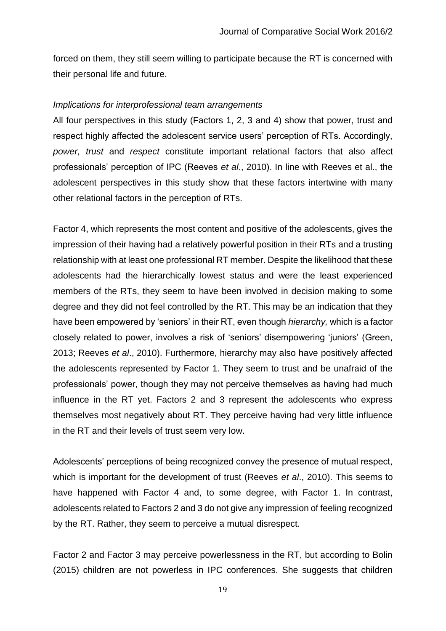forced on them, they still seem willing to participate because the RT is concerned with their personal life and future.

#### *Implications for interprofessional team arrangements*

All four perspectives in this study (Factors 1, 2, 3 and 4) show that power, trust and respect highly affected the adolescent service users' perception of RTs. Accordingly, *power, trust* and *respect* constitute important relational factors that also affect professionals' perception of IPC (Reeves *et al*., 2010). In line with Reeves et al., the adolescent perspectives in this study show that these factors intertwine with many other relational factors in the perception of RTs.

Factor 4, which represents the most content and positive of the adolescents, gives the impression of their having had a relatively powerful position in their RTs and a trusting relationship with at least one professional RT member. Despite the likelihood that these adolescents had the hierarchically lowest status and were the least experienced members of the RTs, they seem to have been involved in decision making to some degree and they did not feel controlled by the RT. This may be an indication that they have been empowered by 'seniors' in their RT, even though *hierarchy,* which is a factor closely related to power, involves a risk of 'seniors' disempowering 'juniors' (Green, 2013; Reeves *et al*., 2010). Furthermore, hierarchy may also have positively affected the adolescents represented by Factor 1. They seem to trust and be unafraid of the professionals' power, though they may not perceive themselves as having had much influence in the RT yet. Factors 2 and 3 represent the adolescents who express themselves most negatively about RT. They perceive having had very little influence in the RT and their levels of trust seem very low.

Adolescents' perceptions of being recognized convey the presence of mutual respect, which is important for the development of trust (Reeves *et al*., 2010). This seems to have happened with Factor 4 and, to some degree, with Factor 1. In contrast, adolescents related to Factors 2 and 3 do not give any impression of feeling recognized by the RT. Rather, they seem to perceive a mutual disrespect.

Factor 2 and Factor 3 may perceive powerlessness in the RT, but according to Bolin (2015) children are not powerless in IPC conferences. She suggests that children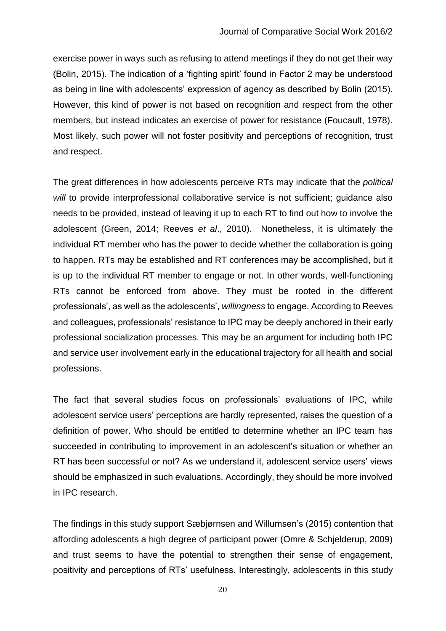exercise power in ways such as refusing to attend meetings if they do not get their way (Bolin, 2015). The indication of a 'fighting spirit' found in Factor 2 may be understood as being in line with adolescents' expression of agency as described by Bolin (2015). However, this kind of power is not based on recognition and respect from the other members, but instead indicates an exercise of power for resistance (Foucault, 1978). Most likely, such power will not foster positivity and perceptions of recognition, trust and respect.

The great differences in how adolescents perceive RTs may indicate that the *political*  will to provide interprofessional collaborative service is not sufficient; quidance also needs to be provided, instead of leaving it up to each RT to find out how to involve the adolescent (Green, 2014; Reeves *et al*., 2010). Nonetheless, it is ultimately the individual RT member who has the power to decide whether the collaboration is going to happen. RTs may be established and RT conferences may be accomplished, but it is up to the individual RT member to engage or not. In other words, well-functioning RTs cannot be enforced from above. They must be rooted in the different professionals', as well as the adolescents', *willingness* to engage. According to Reeves and colleagues, professionals' resistance to IPC may be deeply anchored in their early professional socialization processes. This may be an argument for including both IPC and service user involvement early in the educational trajectory for all health and social professions.

The fact that several studies focus on professionals' evaluations of IPC, while adolescent service users' perceptions are hardly represented, raises the question of a definition of power. Who should be entitled to determine whether an IPC team has succeeded in contributing to improvement in an adolescent's situation or whether an RT has been successful or not? As we understand it, adolescent service users' views should be emphasized in such evaluations. Accordingly, they should be more involved in IPC research.

The findings in this study support Sæbjørnsen and Willumsen's (2015) contention that affording adolescents a high degree of participant power (Omre & Schjelderup, 2009) and trust seems to have the potential to strengthen their sense of engagement, positivity and perceptions of RTs' usefulness. Interestingly, adolescents in this study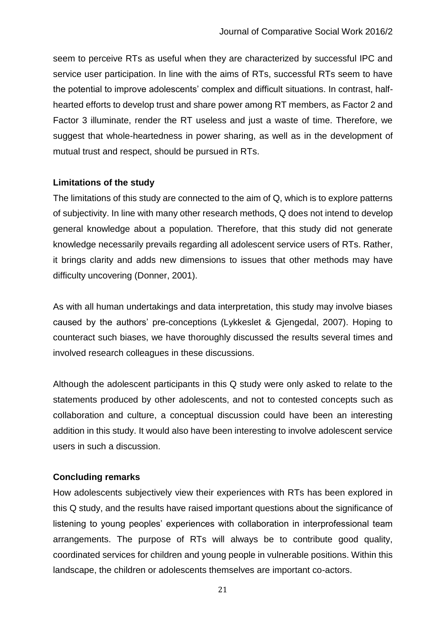seem to perceive RTs as useful when they are characterized by successful IPC and service user participation. In line with the aims of RTs, successful RTs seem to have the potential to improve adolescents' complex and difficult situations. In contrast, halfhearted efforts to develop trust and share power among RT members, as Factor 2 and Factor 3 illuminate, render the RT useless and just a waste of time. Therefore, we suggest that whole-heartedness in power sharing, as well as in the development of mutual trust and respect, should be pursued in RTs.

## **Limitations of the study**

The limitations of this study are connected to the aim of Q, which is to explore patterns of subjectivity. In line with many other research methods, Q does not intend to develop general knowledge about a population. Therefore, that this study did not generate knowledge necessarily prevails regarding all adolescent service users of RTs. Rather, it brings clarity and adds new dimensions to issues that other methods may have difficulty uncovering (Donner, 2001).

As with all human undertakings and data interpretation, this study may involve biases caused by the authors' pre-conceptions (Lykkeslet & Gjengedal, 2007). Hoping to counteract such biases, we have thoroughly discussed the results several times and involved research colleagues in these discussions.

Although the adolescent participants in this Q study were only asked to relate to the statements produced by other adolescents, and not to contested concepts such as collaboration and culture, a conceptual discussion could have been an interesting addition in this study. It would also have been interesting to involve adolescent service users in such a discussion.

## **Concluding remarks**

How adolescents subjectively view their experiences with RTs has been explored in this Q study, and the results have raised important questions about the significance of listening to young peoples' experiences with collaboration in interprofessional team arrangements. The purpose of RTs will always be to contribute good quality, coordinated services for children and young people in vulnerable positions. Within this landscape, the children or adolescents themselves are important co-actors.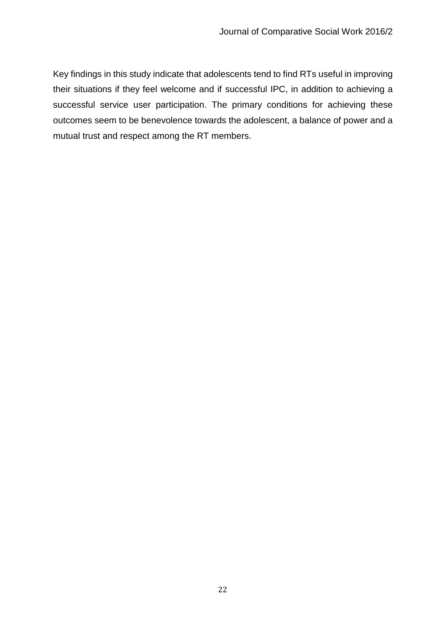Key findings in this study indicate that adolescents tend to find RTs useful in improving their situations if they feel welcome and if successful IPC, in addition to achieving a successful service user participation. The primary conditions for achieving these outcomes seem to be benevolence towards the adolescent, a balance of power and a mutual trust and respect among the RT members.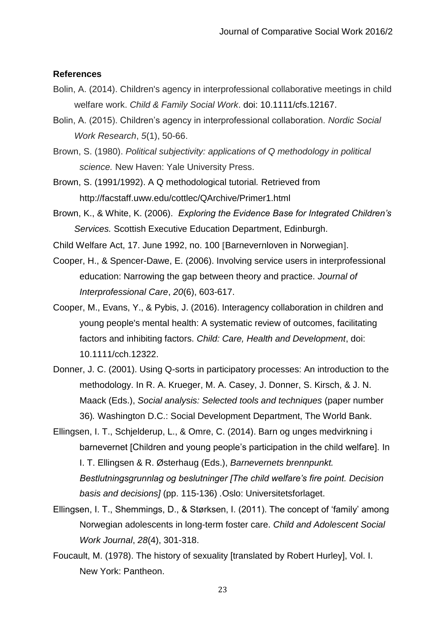#### **References**

- Bolin, A. (2014). Children's agency in interprofessional collaborative meetings in child welfare work. *Child & Family Social Work*. doi: 10.1111/cfs.12167.
- Bolin, A. (2015). Children's agency in interprofessional collaboration. *Nordic Social Work Research*, *5*(1), 50-66.
- Brown, S. (1980). *Political subjectivity: applications of Q methodology in political science.* New Haven: Yale University Press.
- Brown, S. (1991/1992). A Q methodological tutorial*.* Retrieved from http://facstaff.uww.edu/cottlec/QArchive/Primer1.html
- Brown, K., & White, K. (2006). *Exploring the Evidence Base for Integrated Children's Services.* Scottish Executive Education Department, Edinburgh.
- Child Welfare Act, 17. June 1992, no. 100 [Barnevernloven in Norwegian].
- Cooper, H., & Spencer-Dawe, E. (2006). Involving service users in interprofessional education: Narrowing the gap between theory and practice. *Journal of Interprofessional Care*, *20*(6), 603-617.
- Cooper, M., Evans, Y., & Pybis, J. (2016). Interagency collaboration in children and young people's mental health: A systematic review of outcomes, facilitating factors and inhibiting factors. *Child: Care, Health and Development*, doi: 10.1111/cch.12322.
- Donner, J. C. (2001). Using Q-sorts in participatory processes: An introduction to the methodology. In R. A. Krueger, M. A. Casey, J. Donner, S. Kirsch, & J. N. Maack (Eds.), *Social analysis: Selected tools and techniques* (paper number 36)*.* Washington D.C.: Social Development Department, The World Bank.
- Ellingsen, I. T., Schjelderup, L., & Omre, C. (2014). Barn og unges medvirkning i barnevernet [Children and young people's participation in the child welfare]. In I. T. Ellingsen & R. Østerhaug (Eds.), *Barnevernets brennpunkt. Bestlutningsgrunnlag og beslutninger [The child welfare's fire point. Decision basis and decisions]* (pp. 115-136) *.*Oslo: Universitetsforlaget.
- Ellingsen, I. T., Shemmings, D., & Størksen, I. (2011). The concept of 'family' among Norwegian adolescents in long-term foster care. *Child and Adolescent Social Work Journal*, *28*(4), 301-318.

Foucault, M. (1978). The history of sexuality [translated by Robert Hurley], Vol. I. New York: Pantheon.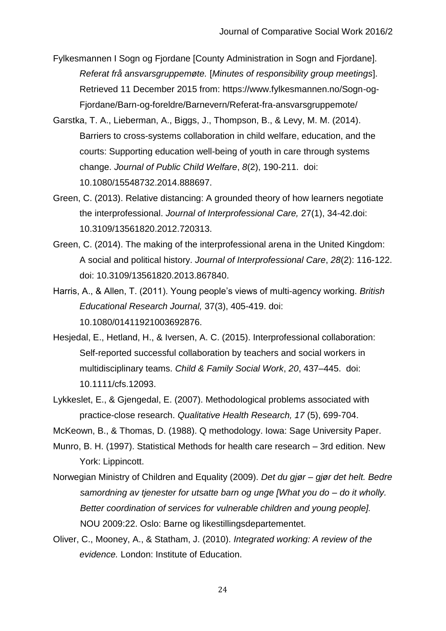Fylkesmannen I Sogn og Fjordane [County Administration in Sogn and Fjordane]. *Referat frå ansvarsgruppemøte.* [*Minutes of responsibility group meetings*]. Retrieved 11 December 2015 from: https://www.fylkesmannen.no/Sogn-og-Fjordane/Barn-og-foreldre/Barnevern/Referat-fra-ansvarsgruppemote/

- Garstka, T. A., Lieberman, A., Biggs, J., Thompson, B., & Levy, M. M. (2014). Barriers to cross-systems collaboration in child welfare, education, and the courts: Supporting education well-being of youth in care through systems change. *Journal of Public Child Welfare*, *8*(2), 190-211. doi: 10.1080/15548732.2014.888697.
- Green, C. (2013). Relative distancing: A grounded theory of how learners negotiate the interprofessional. *Journal of Interprofessional Care,* 27(1), 34-42.doi: 10.3109/13561820.2012.720313.
- Green, C. (2014). The making of the interprofessional arena in the United Kingdom: A social and political history. *Journal of Interprofessional Care*, *28*(2): 116-122. doi: 10.3109/13561820.2013.867840.
- Harris, A., & Allen, T. (2011). Young people's views of multi-agency working. *British Educational Research Journal,* 37(3), 405-419. doi: 10.1080/01411921003692876.
- Hesjedal, E., Hetland, H., & Iversen, A. C. (2015). Interprofessional collaboration: Self-reported successful collaboration by teachers and social workers in multidisciplinary teams. *Child & Family Social Work*, *20*, 437–445. doi: 10.1111/cfs.12093.
- Lykkeslet, E., & Gjengedal, E. (2007). Methodological problems associated with practice-close research. *Qualitative Health Research, 17* (5), 699-704.

McKeown, B., & Thomas, D. (1988). Q methodology. Iowa: Sage University Paper.

- Munro, B. H. (1997). Statistical Methods for health care research 3rd edition. New York: Lippincott.
- Norwegian Ministry of Children and Equality (2009). *Det du gjør – gjør det helt. Bedre samordning av tjenester for utsatte barn og unge [What you do – do it wholly. Better coordination of services for vulnerable children and young people].*  NOU 2009:22. Oslo: Barne og likestillingsdepartementet.
- Oliver, C., Mooney, A., & Statham, J. (2010). *Integrated working: A review of the evidence.* London: Institute of Education.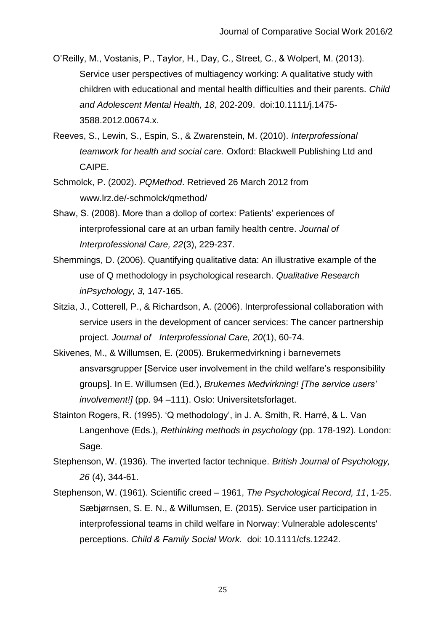O'Reilly, M., Vostanis, P., Taylor, H., Day, C., Street, C., & Wolpert, M. (2013). Service user perspectives of multiagency working: A qualitative study with children with educational and mental health difficulties and their parents. *Child and Adolescent Mental Health, 18*, 202-209. doi:10.1111/j.1475- 3588.2012.00674.x.

Reeves, S., Lewin, S., Espin, S., & Zwarenstein, M. (2010). *Interprofessional teamwork for health and social care.* Oxford: Blackwell Publishing Ltd and CAIPE.

Schmolck, P. (2002). *PQMethod*. Retrieved 26 March 2012 from www.lrz.de/-schmolck/qmethod/

- Shaw, S. (2008). More than a dollop of cortex: Patients' experiences of interprofessional care at an urban family health centre. *Journal of Interprofessional Care, 22*(3), 229-237.
- Shemmings, D. (2006). Quantifying qualitative data: An illustrative example of the use of Q methodology in psychological research. *Qualitative Research inPsychology, 3,* 147-165.
- Sitzia, J., Cotterell, P., & Richardson, A. (2006). Interprofessional collaboration with service users in the development of cancer services: The cancer partnership project. *Journal of Interprofessional Care, 20*(1), 60-74.
- Skivenes, M., & Willumsen, E. (2005). Brukermedvirkning i barnevernets ansvarsgrupper [Service user involvement in the child welfare's responsibility groups]. In E. Willumsen (Ed.), *Brukernes Medvirkning! [The service users' involvement!]* (pp. 94 –111). Oslo: Universitetsforlaget.
- Stainton Rogers, R. (1995). 'Q methodology', in J. A. Smith, R. Harré, & L. Van Langenhove (Eds.), *Rethinking methods in psychology* (pp. 178-192)*.* London: Sage.

Stephenson, W. (1936). The inverted factor technique. *British Journal of Psychology, 26* (4), 344-61.

Stephenson, W. (1961). Scientific creed – 1961, *The Psychological Record, 11*, 1-25. Sæbjørnsen, S. E. N., & Willumsen, E. (2015). Service user participation in interprofessional teams in child welfare in Norway: Vulnerable adolescents' perceptions. *Child & Family Social Work.* doi: 10.1111/cfs.12242.